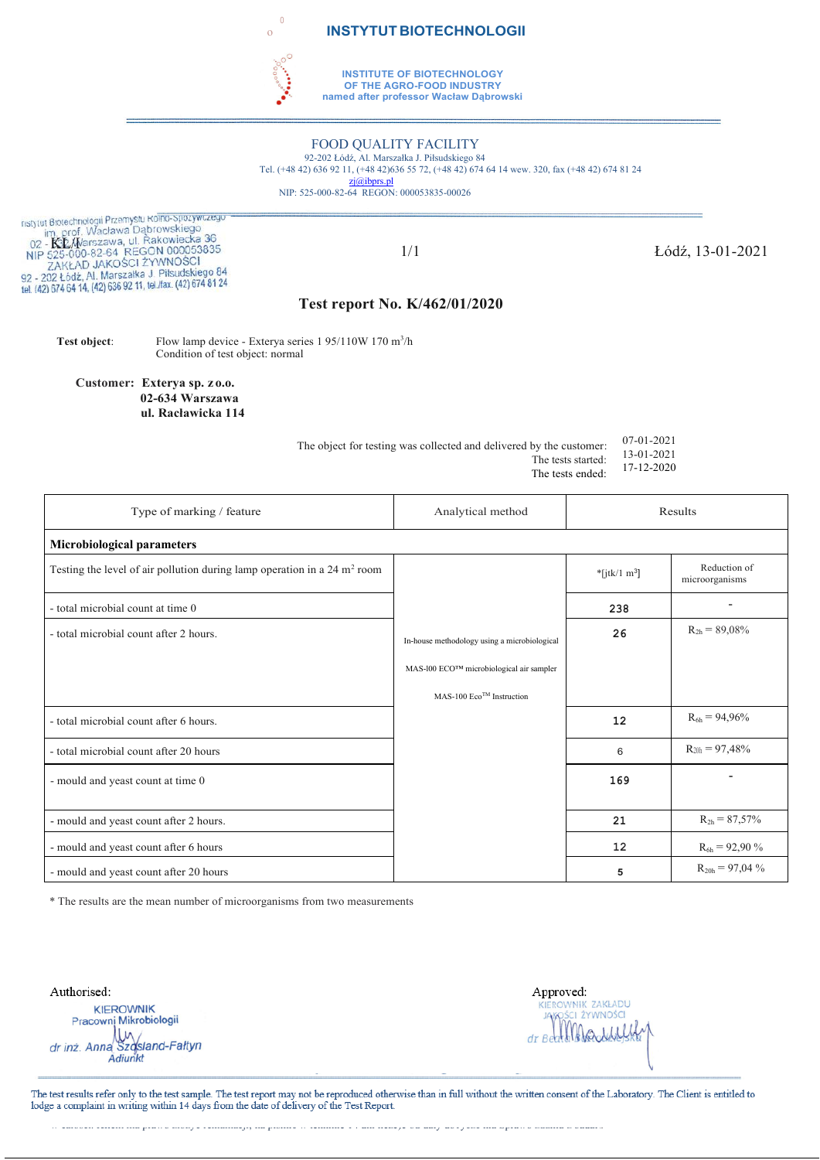



I

0

**INSTITUTE OF BIOTECHNOLOGY OF THE AGRO-FOOD INDUSTRY named after professor Wacław Dąbrowski**

# FOOD QUALITY FACILITY 92-202 Łódź, Al. Marszałka J. Piłsudskiego 84

Tel. (+48 42) 636 92 11, (+48 42)636 55 72, (+48 42) 674 64 14 wew. 320, fax (+48 42) 674 81 24 zj@ibprs.pl NIP: 525-000-82-64 REGON: 000053835-00026

nstytut Botechnologii Przemystu Kolno-spozywczego<br>
im. prof. Wacława Dąbrowskiego<br>
02 - KSL/Marszawa, ul. Rakowiecka 36<br>
NIP 525-000-82-64 REGON 000053835<br>
ZAKŁAD JAKOŚCI ŻYWNOŚCI<br>
92 - 202 Łódź, Al. Marszałka J. Piłsudski

1/1 Łódź, 13-01-2021

#### **Test report No. K/462/01/2020**

**Test object:** Flow lamp device - Exterya series 1 95/110W 170 m<sup>3</sup>/h Condition of test object: normal

**Customer: Exterya sp. z o.o. 02-634 Warszawa ul. Racławicka 114**

| The object for testing was collected and delivered by the customer: | $07-01-2021$ |
|---------------------------------------------------------------------|--------------|
| The tests started:                                                  | 13-01-2021   |
| The tests ended:                                                    | 17-12-2020   |

| Type of marking / feature                                                           | Analytical method                            | Results                     |                                |
|-------------------------------------------------------------------------------------|----------------------------------------------|-----------------------------|--------------------------------|
| <b>Microbiological parameters</b>                                                   |                                              |                             |                                |
| Testing the level of air pollution during lamp operation in a $24 \text{ m}^2$ room |                                              | $*$ [jtk/1 m <sup>3</sup> ] | Reduction of<br>microorganisms |
| - total microbial count at time 0                                                   |                                              | 238                         |                                |
| - total microbial count after 2 hours.                                              | In-house methodology using a microbiological | 26                          | $R_{2h} = 89,08\%$             |
|                                                                                     | MAS-100 ECO™ microbiological air sampler     |                             |                                |
|                                                                                     | MAS-100 Eco™ Instruction                     |                             |                                |
|                                                                                     |                                              |                             |                                |
| - total microbial count after 6 hours.                                              |                                              | 12                          | $R_{6h} = 94,96\%$             |
| - total microbial count after 20 hours                                              |                                              | 6                           | $R_{20h} = 97,48\%$            |
| - mould and yeast count at time 0                                                   |                                              | 169                         |                                |
|                                                                                     |                                              |                             |                                |
| - mould and yeast count after 2 hours.                                              |                                              | 21                          | $R_{2h} = 87,57\%$             |
| - mould and yeast count after 6 hours                                               |                                              | 12                          | $R_{6h}$ = 92,90 %             |
| - mould and yeast count after 20 hours                                              |                                              | 5                           | $R_{20h}$ = 97,04 %            |

\* The results are the mean number of microorganisms from two measurements

Authorised:

**KIEROWNIK** Pracownį Mikrobiologii dr inż. Anna Szosland-Faltyn Adiunkt

Approved: **POWNIK ZAKŁADLI** ŻYWNOŚCI  $drBe$ 

The test results refer only to the test sample. The test report may not be reproduced otherwise than in full without the written consent of the Laboratory. The Client is entitled to lodge a complaint in writing within 14 days from the date of delivery of the Test Report.

w calosci. Klient ma prawo zlozyc reklamacji; na pismie w tenninie 14 dni liczc)c od daty do1ycze nia Sprawo zdania z badat\.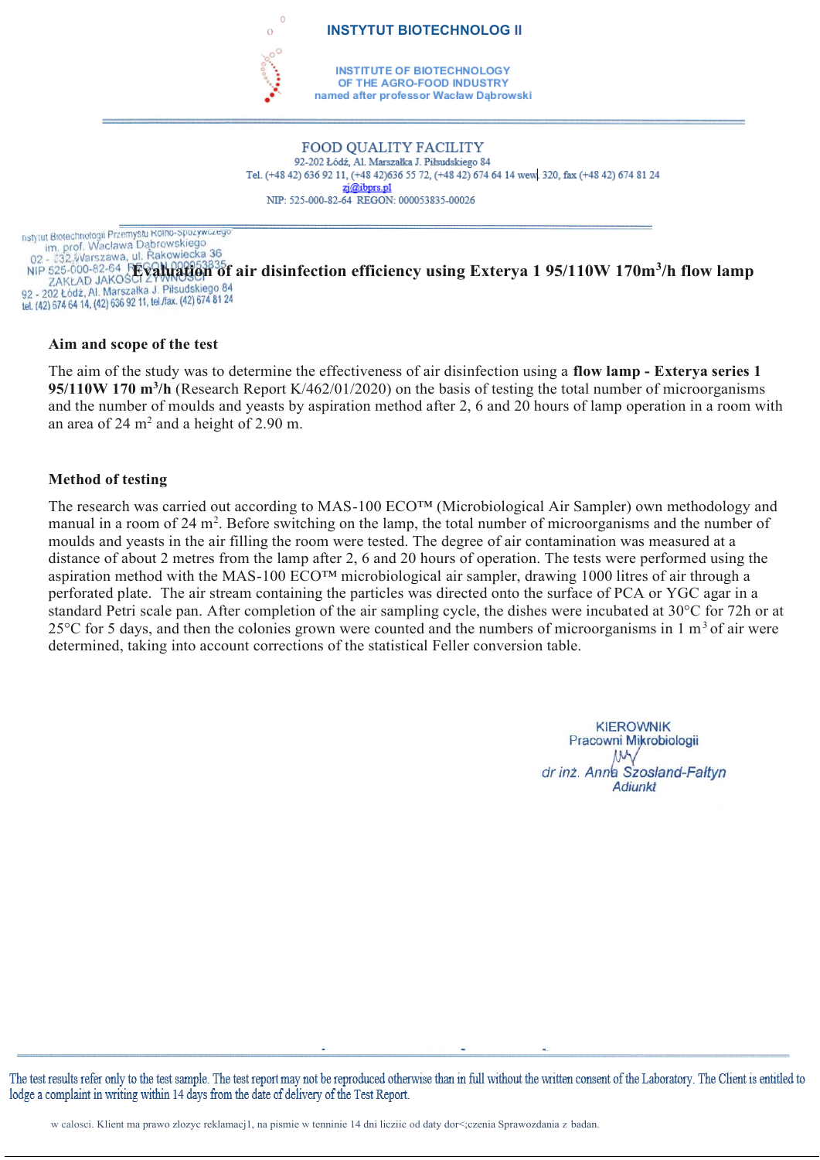

#### o **INSTYTUT BIOTECHNOLOG II**

**INSTITUTE OF BIOTECHNOLOGY** OF THE AGRO-FOOD INDUSTRY named after professor Wacław Dąbrowski

**FOOD OUALITY FACILITY** 92-202 Łódź, Al. Marszałka J. Piłsudskiego 84 Tel. (+48 42) 636 92 11, (+48 42) 636 55 72, (+48 42) 674 64 14 wew 320, fax (+48 42) 674 81 24 zj@ibprs.pl NIP: 525-000-82-64 REGON: 000053835-00026

nstytut Brotechnologii Przemysłu Kolno-Spozywszego<br>im. prof. Wacławia Dąbrowskiego<br>in. prof. Wacławia ul. Rakowiecka 36 02 - E32.Warszawa, ul. Rakowiecka 36<br>NIP 525-000-82-64 REGON 000653835<br>ZAKŁAD JAKOŚCI ZAWKOSON Of air disinfection efficiency using Exterya 1 95/110W 170m<sup>3</sup>/h flow lamp 92 - 202 ŁOGZ, AL. Marszawa 6. ruka (42) 674 81 24

# **Aim and scope of the test**

The aim of the study was to determine the effectiveness of air disinfection using a **flow lamp - Exterya series 1 95/110W 170 m3 /h** (Research Report K/462/01/2020) on the basis of testing the total number of microorganisms and the number of moulds and yeasts by aspiration method after 2, 6 and 20 hours of lamp operation in a room with an area of 24 m2 and a height of 2.90 m.

# **Method of testing**

The research was carried out according to MAS-100 ECO™ (Microbiological Air Sampler) own methodology and manual in a room of 24 m<sup>2</sup>. Before switching on the lamp, the total number of microorganisms and the number of moulds and yeasts in the air filling the room were tested. The degree of air contamination was measured at a distance of about 2 metres from the lamp after 2, 6 and 20 hours of operation. The tests were performed using the aspiration method with the MAS-100 ECO<sup>TM</sup> microbiological air sampler, drawing 1000 litres of air through a perforated plate. The air stream containing the particles was directed onto the surface of PCA or YGC agar in a standard Petri scale pan. After completion of the air sampling cycle, the dishes were incubated at 30°C for 72h or at 25 $\degree$ C for 5 days, and then the colonies grown were counted and the numbers of microorganisms in 1 m<sup>3</sup> of air were determined, taking into account corrections of the statistical Feller conversion table.

> **KIEROWNIK** Pracowni Mikrobiologii M dr inż. Anna Szosland-Faltyn **Adjunkt**

The test results refer only to the test sample. The test report may not be reproduced otherwise than in full without the written consent of the Laboratory. The Client is entitled to lodge a complaint in writing within 14 days from the date of delivery of the Test Report.

w calosci. Klient ma prawo zlozyc reklamacj1, na pismie w tenninie 14 dni licziic od daty dor<;czenia Sprawozdania z badan.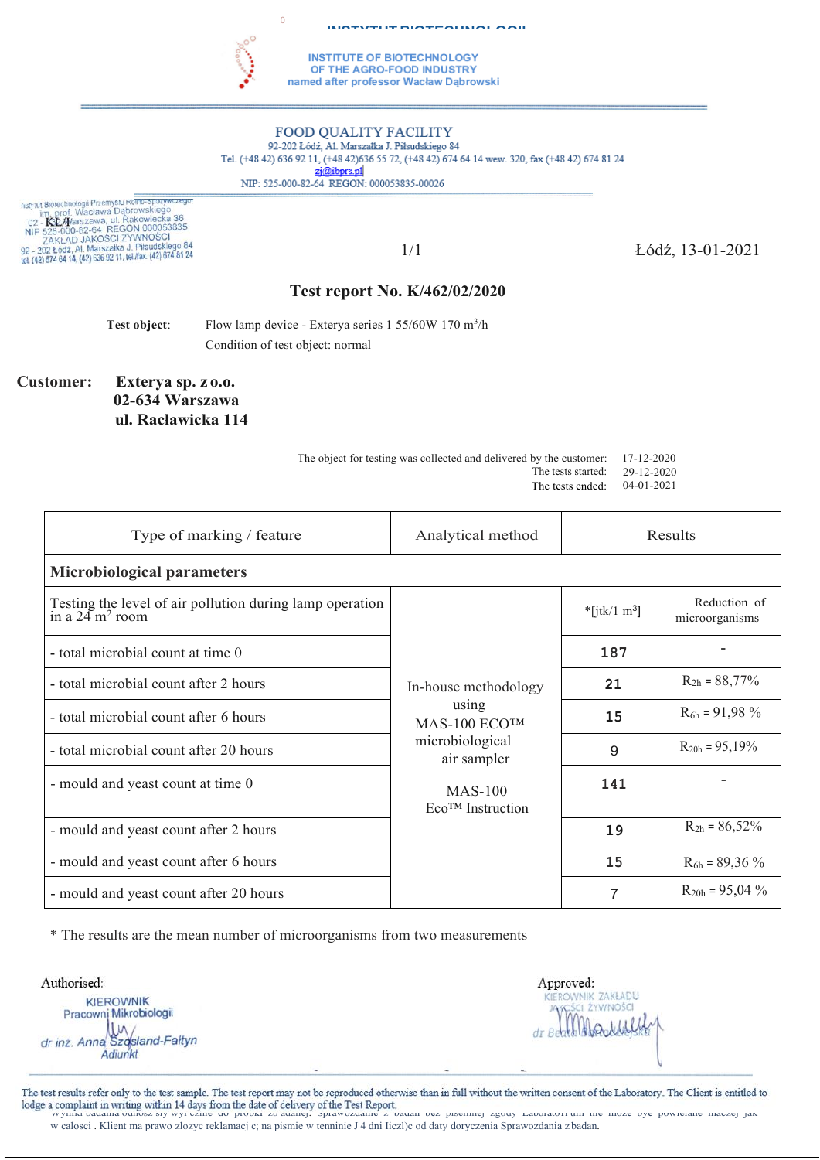



# FOOD QUALITY FACILITY

92-202 Łódź, Al. Marszałka J. Piłsudskiego 84 Tel. (+48 42) 636 92 11, (+48 42) 636 55 72, (+48 42) 674 64 14 wew. 320, fax (+48 42) 674 81 24  $zj@ibrrs.pl$ 

NIP: 525-000-82-64 REGON: 000053835-00026

nstylut Biotechnologii Przemystu Roma-spazywczego<br>102 - Kali Mac David Dabrowskiego<br>102 - Kal Marszawa, ul. Rakowiecka 36<br>102 - Kal Marszawa, ul. Rakowiecka 36<br>2010-202 - Andre Zal Marszałka J. Piłsudskiego 84<br>192 - 202 Łó

1/1 Łódź, 13-01-2021

# **Test report No. K/462/02/2020**

Test object: Flow lamp device - Exterya series 1 55/60W 170 m<sup>3</sup>/h Condition of test object: normal

0

# **Customer: Exterya sp. z o.o. 02-634 Warszawa ul. Racławicka 114**

| The object for testing was collected and delivered by the customer: $17-12-2020$ |                  |
|----------------------------------------------------------------------------------|------------------|
| The tests started: $29-12-2020$                                                  |                  |
| The tests ended:                                                                 | $04 - 01 - 2021$ |

| Type of marking / feature                                                              | Analytical method                                                                                                   | Results                     |                                |
|----------------------------------------------------------------------------------------|---------------------------------------------------------------------------------------------------------------------|-----------------------------|--------------------------------|
| <b>Microbiological parameters</b>                                                      |                                                                                                                     |                             |                                |
| Testing the level of air pollution during lamp operation<br>in a $24 \text{ m}^2$ room | In-house methodology<br>using<br>MAS-100 ECO™<br>microbiological<br>air sampler<br>$MAS-100$<br>$EcoTM$ Instruction | $*$ [jtk/1 m <sup>3</sup> ] | Reduction of<br>microorganisms |
| - total microbial count at time 0                                                      |                                                                                                                     | 187                         |                                |
| - total microbial count after 2 hours                                                  |                                                                                                                     | 21                          | $R_{2h} = 88,77\%$             |
| - total microbial count after 6 hours                                                  |                                                                                                                     | 15                          | $R_{6h}$ = 91,98 %             |
| - total microbial count after 20 hours                                                 |                                                                                                                     | 9                           | $R_{20h} = 95,19\%$            |
| - mould and yeast count at time 0                                                      |                                                                                                                     | 141                         |                                |
| - mould and yeast count after 2 hours                                                  |                                                                                                                     | 19                          | $R_{2h} = 86,52\%$             |
| - mould and yeast count after 6 hours                                                  |                                                                                                                     | 15                          | $R_{6h}$ = 89,36 %             |
| - mould and yeast count after 20 hours                                                 |                                                                                                                     | 7                           | $R_{20h}$ = 95,04 %            |

\* The results are the mean number of microorganisms from two measurements

Authorised:

**KIEROWNIK** Pracowni Mikrobiologii dr inż. Anna Szosland-Faltyn Adiunkt

Approved: **ROWNIK ZAKŁADU ŻYWNOŚCI** 

The test results refer only to the test sample. The test report may not be reproduced otherwise than in full without the written consent of the Laboratory. The Client is entitled to lodge a complaint in writing within 14 days from the date of delivery of the Test Report.<br>w yniki badania odnosz siy wyl cznie do probki zb adanej. Sprawozdanie z badan bez pisemnej zgody Laborato1i um nie moze bye powiela

w calosci . Klient ma prawo zlozyc reklamacj c; na pismie w tenninie J 4 dni Iiczl)c od daty doryczenia Sprawozdania z badan.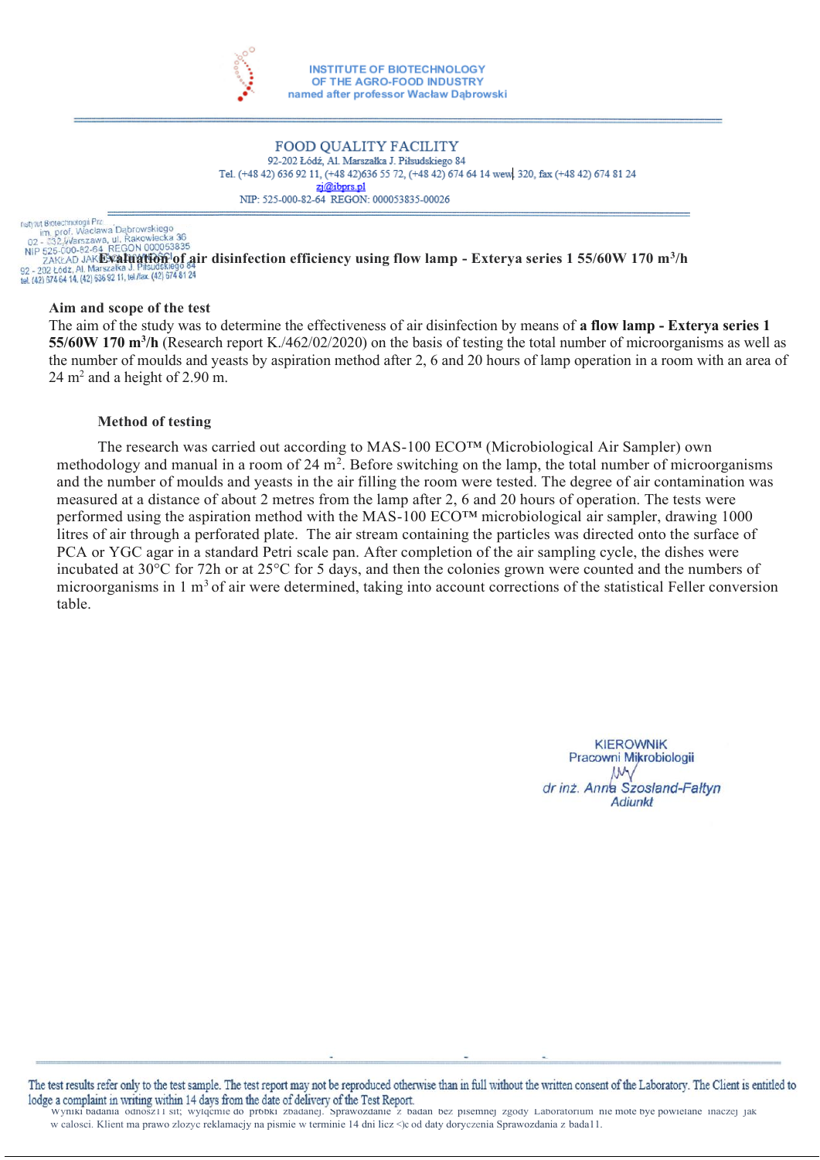

# **FOOD OUALITY FACILITY**

92-202 Łódź, Al. Marszałka J. Piłsudskiego 84 Tel. (+48 42) 636 92 11, (+48 42) 636 55 72, (+48 42) 674 64 14 wew 320, fax (+48 42) 674 81 24 zi@ibprs.pl NIP: 525-000-82-64 REGON: 000053835-00026

# nstytut Brotechnologii Prz

**Evaluation of a** Evaluation of a Septemskiego<br>
The prof. Warszawa, ul. Rakowiecka 36<br>
NIP 525-000-82-64 REGON 000053835<br>
PRIP 525-000-82-64 REGON 000053835<br>
22-2021 total All Marszakka J. Pilsudskiego of **a**ir disinfectio

#### **Aim and scope of the test**

The aim of the study was to determine the effectiveness of air disinfection by means of **a flow lamp - Exterya series 1**  55/60W 170 m<sup>3</sup>/h (Research report K./462/02/2020) on the basis of testing the total number of microorganisms as well as the number of moulds and yeasts by aspiration method after 2, 6 and 20 hours of lamp operation in a room with an area of  $24 \text{ m}^2$  and a height of 2.90 m.

# **Method of testing**

The research was carried out according to MAS-100 ECO™ (Microbiological Air Sampler) own methodology and manual in a room of 24 m<sup>2</sup>. Before switching on the lamp, the total number of microorganisms and the number of moulds and yeasts in the air filling the room were tested. The degree of air contamination was measured at a distance of about 2 metres from the lamp after 2, 6 and 20 hours of operation. The tests were performed using the aspiration method with the MAS-100 ECO™ microbiological air sampler, drawing 1000 litres of air through a perforated plate. The air stream containing the particles was directed onto the surface of PCA or YGC agar in a standard Petri scale pan. After completion of the air sampling cycle, the dishes were incubated at 30°C for 72h or at 25°C for 5 days, and then the colonies grown were counted and the numbers of microorganisms in  $1 \text{ m}^3$  of air were determined, taking into account corrections of the statistical Feller conversion table.

> **KIFROWNIK** Pracowni Mikrobiologii M dr inż. Anna Szosland-Faltyn **Adjunkt**

The test results refer only to the test sample. The test report may not be reproduced otherwise than in full without the written consent of the Laboratory. The Client is entitled to lodge a complaint in writing within 14 days from the date of delivery of the Test Report.<br>Wyniki badania odnosz11 sit; wylqcmie do pr6bki zbadanej. Sprawozdanie z badan bez pisemnej zgody Laboratorium nie mote bye powielan

w calosci. Klient ma prawo zlozyc reklamacjy na pismie w terminie 14 dni licz <)c od daty doryczenia Sprawozdania z bada11.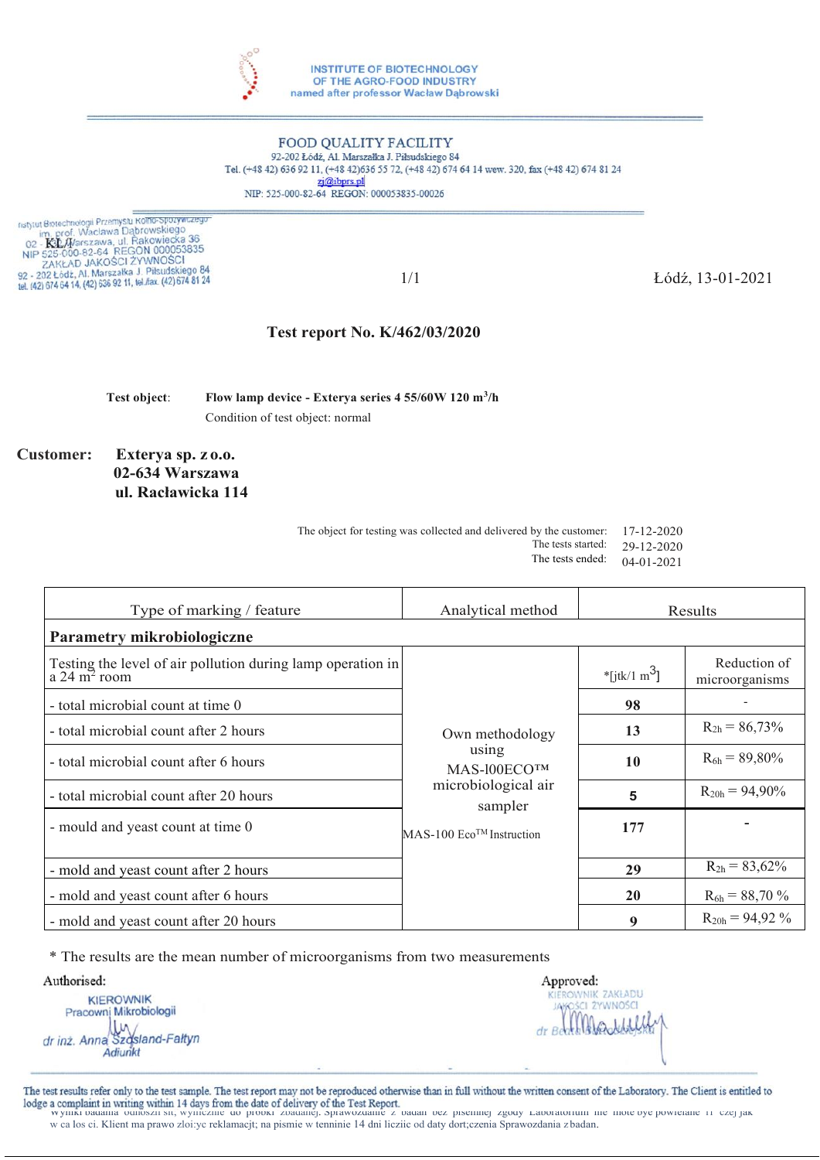

FOOD QUALITY FACILITY 92-202 Łódź, Al. Marszałka J. Piłsudskiego 84 Tel. (+48 42) 636 92 11, (+48 42) 636 55 72, (+48 42) 674 64 14 wew. 320, fax (+48 42) 674 81 24 zj@ibprs.pl NIP: 525-000-82-64 REGON: 000053835-00026

nstytut Biotechnologii Przemystu <del>Kollno-Spozywczego</del><br>102 - Kanady Wardszawa, ul. Rakowiecka 36<br>102 - Kanady Warszawa, ul. Rakowiecka 36<br>102 - Kanady Jakob Schilder, 2000<br>102 - 202 Łódź, Al. Marszałka J. Piłsudskiego 84<br>1e

1/1 Łódź, 13-01-2021

# **Test report No. K/462/03/2020**

**Test object**: **Flow lamp device - Exterya series 4 55/60W 120 m3 /h** Condition of test object: normal

**Customer: Exterya sp. z o.o. 02-634 Warszawa ul. Racławicka 114**

| The object for testing was collected and delivered by the customer: $17-12-2020$ |                  |
|----------------------------------------------------------------------------------|------------------|
| The tests started:                                                               | 29-12-2020       |
| The tests ended:                                                                 | $04 - 01 - 2021$ |

| Type of marking / feature                                                     | Analytical method                                                                                                    |                          | Results                        |
|-------------------------------------------------------------------------------|----------------------------------------------------------------------------------------------------------------------|--------------------------|--------------------------------|
| Parametry mikrobiologiczne                                                    |                                                                                                                      |                          |                                |
| Testing the level of air pollution during lamp operation in<br>$a 24 m2$ room | Own methodology<br>using<br>MAS-100ECO™<br>microbiological air<br>sampler<br>$MAS-100$ Eco <sup>TM</sup> Instruction | *[jtk/1 m <sup>3</sup> ] | Reduction of<br>microorganisms |
| - total microbial count at time 0                                             |                                                                                                                      | 98                       |                                |
| - total microbial count after 2 hours                                         |                                                                                                                      | 13                       | $R_{2h} = 86,73\%$             |
| - total microbial count after 6 hours                                         |                                                                                                                      | 10                       | $R_{6h} = 89,80\%$             |
| - total microbial count after 20 hours                                        |                                                                                                                      | 5                        | $R_{20h} = 94,90\%$            |
| - mould and yeast count at time 0                                             |                                                                                                                      | 177                      |                                |
| - mold and yeast count after 2 hours                                          |                                                                                                                      | 29                       | $R_{2h} = 83,62\%$             |
| - mold and yeast count after 6 hours                                          |                                                                                                                      | <b>20</b>                | $R_{6h} = 88,70\%$             |
| - mold and yeast count after 20 hours                                         |                                                                                                                      | 9                        | $R_{20h} = 94,92\%$            |

\* The results are the mean number of microorganisms from two measurements

Authorised:

**KIEROWNIK** Pracownį Mikrobiologii  $\mathsf{I}$ dr inz. Anna Szosland-Faltyn Adiunkt

Approved: KIEROWNIK ZAKŁADU **ŻYWNOŚCI** 

The test results refer only to the test sample. The test report may not be reproduced otherwise than in full without the written consent of the Laboratory. The Client is entitled to lodge a complaint in writing within 14 days from the date of delivery of the Test Report.<br>Wyniki badania odnoszli sit, wyliteznie do probki zbadaniej. Sprawozdanie z badan bez pisemnej zgody Laboratorium nie mote bye powie

w ca los ci. Klient ma prawo zloi:yc reklamacjt; na pismie w tenninie 14 dni licziic od daty dort;czenia Sprawozdania zbadan.